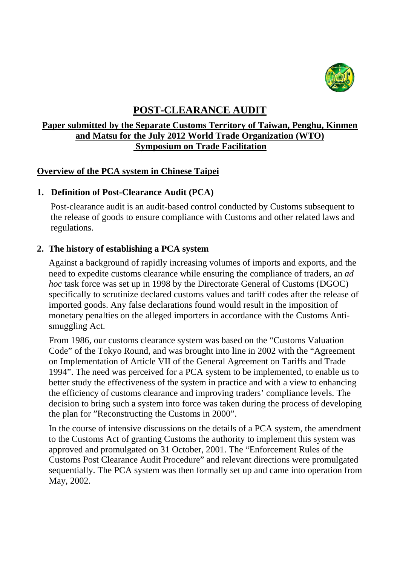

# **POST-CLEARANCE AUDIT**

# **Paper submitted by the Separate Customs Territory of Taiwan, Penghu, Kinmen and Matsu for the July 2012 World Trade Organization (WTO) Symposium on Trade Facilitation**

# **Overview of the PCA system in Chinese Taipei**

# **1. Definition of Post-Clearance Audit (PCA)**

Post-clearance audit is an audit-based control conducted by Customs subsequent to the release of goods to ensure compliance with Customs and other related laws and regulations.

# **2. The history of establishing a PCA system**

Against a background of rapidly increasing volumes of imports and exports, and the need to expedite customs clearance while ensuring the compliance of traders, an *ad hoc* task force was set up in 1998 by the Directorate General of Customs (DGOC) specifically to scrutinize declared customs values and tariff codes after the release of imported goods. Any false declarations found would result in the imposition of monetary penalties on the alleged importers in accordance with the Customs Antismuggling Act.

From 1986, our customs clearance system was based on the "Customs Valuation Code" of the Tokyo Round, and was brought into line in 2002 with the "Agreement on Implementation of Article VII of the General Agreement on Tariffs and Trade 1994". The need was perceived for a PCA system to be implemented, to enable us to better study the effectiveness of the system in practice and with a view to enhancing the efficiency of customs clearance and improving traders' compliance levels. The decision to bring such a system into force was taken during the process of developing the plan for "Reconstructing the Customs in 2000".

In the course of intensive discussions on the details of a PCA system, the amendment to the Customs Act of granting Customs the authority to implement this system was approved and promulgated on 31 October, 2001. The "Enforcement Rules of the Customs Post Clearance Audit Procedure" and relevant directions were promulgated sequentially. The PCA system was then formally set up and came into operation from May, 2002.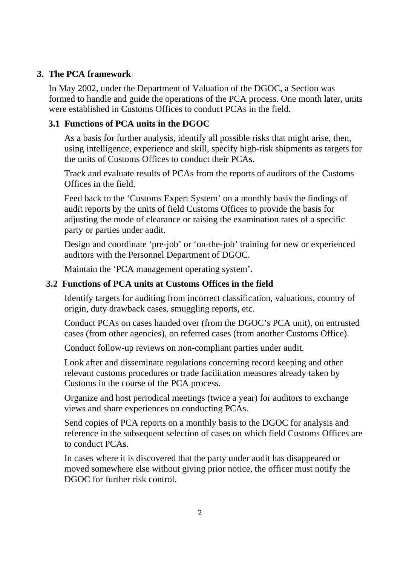### **3. The PCA framework**

 In May 2002, under the Department of Valuation of the DGOC, a Section was formed to handle and guide the operations of the PCA process. One month later, units were established in Customs Offices to conduct PCAs in the field.

#### **3.1 Functions of PCA units in the DGOC**

As a basis for further analysis, identify all possible risks that might arise, then, using intelligence, experience and skill, specify high-risk shipments as targets for the units of Customs Offices to conduct their PCAs.

Track and evaluate results of PCAs from the reports of auditors of the Customs Offices in the field.

Feed back to the 'Customs Expert System' on a monthly basis the findings of audit reports by the units of field Customs Offices to provide the basis for adjusting the mode of clearance or raising the examination rates of a specific party or parties under audit.

Design and coordinate 'pre-job' or 'on-the-job' training for new or experienced auditors with the Personnel Department of DGOC.

Maintain the 'PCA management operating system'.

#### **3.2 Functions of PCA units at Customs Offices in the field**

Identify targets for auditing from incorrect classification, valuations, country of origin, duty drawback cases, smuggling reports, etc.

Conduct PCAs on cases handed over (from the DGOC's PCA unit), on entrusted cases (from other agencies), on referred cases (from another Customs Office).

Conduct follow-up reviews on non-compliant parties under audit.

Look after and disseminate regulations concerning record keeping and other relevant customs procedures or trade facilitation measures already taken by Customs in the course of the PCA process.

Organize and host periodical meetings (twice a year) for auditors to exchange views and share experiences on conducting PCAs.

Send copies of PCA reports on a monthly basis to the DGOC for analysis and reference in the subsequent selection of cases on which field Customs Offices are to conduct PCAs.

In cases where it is discovered that the party under audit has disappeared or moved somewhere else without giving prior notice, the officer must notify the DGOC for further risk control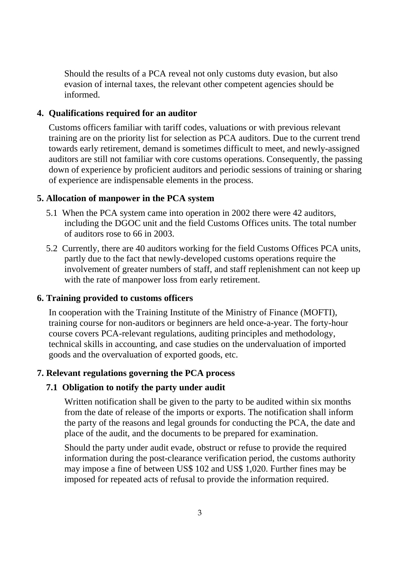Should the results of a PCA reveal not only customs duty evasion, but also evasion of internal taxes, the relevant other competent agencies should be informed.

#### **4. Qualifications required for an auditor**

Customs officers familiar with tariff codes, valuations or with previous relevant training are on the priority list for selection as PCA auditors. Due to the current trend towards early retirement, demand is sometimes difficult to meet, and newly-assigned auditors are still not familiar with core customs operations. Consequently, the passing down of experience by proficient auditors and periodic sessions of training or sharing of experience are indispensable elements in the process.

#### **5. Allocation of manpower in the PCA system**

- 5.1 When the PCA system came into operation in 2002 there were 42 auditors, including the DGOC unit and the field Customs Offices units. The total number of auditors rose to 66 in 2003.
- 5.2 Currently, there are 40 auditors working for the field Customs Offices PCA units, partly due to the fact that newly-developed customs operations require the involvement of greater numbers of staff, and staff replenishment can not keep up with the rate of manpower loss from early retirement.

# **6. Training provided to customs officers**

In cooperation with the Training Institute of the Ministry of Finance (MOFTI), training course for non-auditors or beginners are held once-a-year. The forty-hour course covers PCA-relevant regulations, auditing principles and methodology, technical skills in accounting, and case studies on the undervaluation of imported goods and the overvaluation of exported goods, etc.

#### **7. Relevant regulations governing the PCA process**

#### **7.1 Obligation to notify the party under audit**

Written notification shall be given to the party to be audited within six months from the date of release of the imports or exports. The notification shall inform the party of the reasons and legal grounds for conducting the PCA, the date and place of the audit, and the documents to be prepared for examination.

Should the party under audit evade, obstruct or refuse to provide the required information during the post-clearance verification period, the customs authority may impose a fine of between US\$ 102 and US\$ 1,020. Further fines may be imposed for repeated acts of refusal to provide the information required.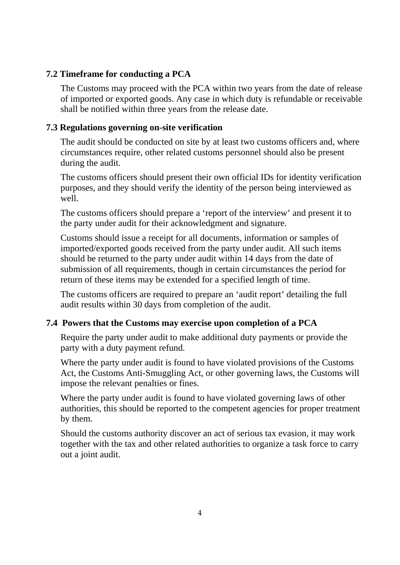### **7.2 Timeframe for conducting a PCA**

The Customs may proceed with the PCA within two years from the date of release of imported or exported goods. Any case in which duty is refundable or receivable shall be notified within three years from the release date.

#### **7.3 Regulations governing on-site verification**

The audit should be conducted on site by at least two customs officers and, where circumstances require, other related customs personnel should also be present during the audit.

The customs officers should present their own official IDs for identity verification purposes, and they should verify the identity of the person being interviewed as well.

The customs officers should prepare a 'report of the interview' and present it to the party under audit for their acknowledgment and signature.

Customs should issue a receipt for all documents, information or samples of imported/exported goods received from the party under audit. All such items should be returned to the party under audit within 14 days from the date of submission of all requirements, though in certain circumstances the period for return of these items may be extended for a specified length of time.

The customs officers are required to prepare an 'audit report' detailing the full audit results within 30 days from completion of the audit.

#### **7.4 Powers that the Customs may exercise upon completion of a PCA**

Require the party under audit to make additional duty payments or provide the party with a duty payment refund.

Where the party under audit is found to have violated provisions of the Customs Act, the Customs Anti-Smuggling Act, or other governing laws, the Customs will impose the relevant penalties or fines.

Where the party under audit is found to have violated governing laws of other authorities, this should be reported to the competent agencies for proper treatment by them.

Should the customs authority discover an act of serious tax evasion, it may work together with the tax and other related authorities to organize a task force to carry out a joint audit.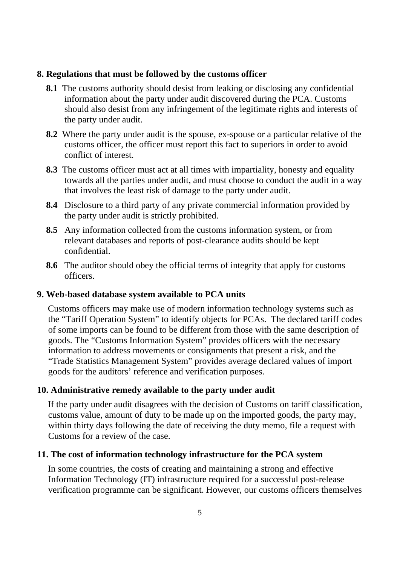#### **8. Regulations that must be followed by the customs officer**

- **8.1** The customs authority should desist from leaking or disclosing any confidential information about the party under audit discovered during the PCA. Customs should also desist from any infringement of the legitimate rights and interests of the party under audit.
- **8.2** Where the party under audit is the spouse, ex-spouse or a particular relative of the customs officer, the officer must report this fact to superiors in order to avoid conflict of interest.
- **8.3** The customs officer must act at all times with impartiality, honesty and equality towards all the parties under audit, and must choose to conduct the audit in a way that involves the least risk of damage to the party under audit.
- **8.4** Disclosure to a third party of any private commercial information provided by the party under audit is strictly prohibited.
- **8.5** Any information collected from the customs information system, or from relevant databases and reports of post-clearance audits should be kept confidential.
- **8.6** The auditor should obey the official terms of integrity that apply for customs officers.

#### **9. Web-based database system available to PCA units**

Customs officers may make use of modern information technology systems such as the "Tariff Operation System" to identify objects for PCAs. The declared tariff codes of some imports can be found to be different from those with the same description of goods. The "Customs Information System" provides officers with the necessary information to address movements or consignments that present a risk, and the "Trade Statistics Management System" provides average declared values of import goods for the auditors' reference and verification purposes.

# **10. Administrative remedy available to the party under audit**

If the party under audit disagrees with the decision of Customs on tariff classification, customs value, amount of duty to be made up on the imported goods, the party may, within thirty days following the date of receiving the duty memo, file a request with Customs for a review of the case.

# **11. The cost of information technology infrastructure for the PCA system**

In some countries, the costs of creating and maintaining a strong and effective Information Technology (IT) infrastructure required for a successful post-release verification programme can be significant. However, our customs officers themselves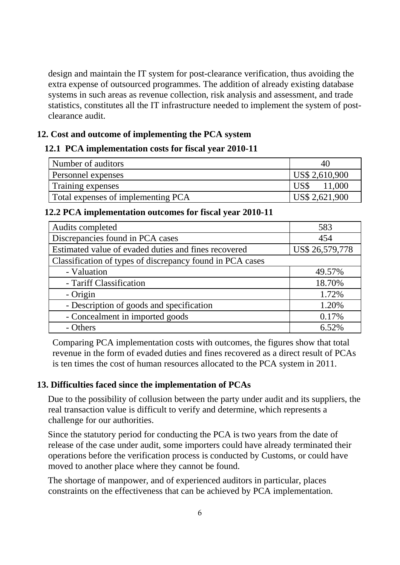design and maintain the IT system for post-clearance verification, thus avoiding the extra expense of outsourced programmes. The addition of already existing database systems in such areas as revenue collection, risk analysis and assessment, and trade statistics, constitutes all the IT infrastructure needed to implement the system of postclearance audit.

#### **12. Cost and outcome of implementing the PCA system**

#### **12.1 PCA implementation costs for fiscal year 2010-11**

| Number of auditors                 | 40.            |
|------------------------------------|----------------|
| <b>Personnel expenses</b>          | US\$ 2,610,900 |
| Training expenses                  | 11,000         |
| Total expenses of implementing PCA | US\$ 2,621,900 |

#### **12.2 PCA implementation outcomes for fiscal year 2010-11**

| Audits completed                                          | 583             |
|-----------------------------------------------------------|-----------------|
| Discrepancies found in PCA cases                          | 454             |
| Estimated value of evaded duties and fines recovered      | US\$ 26,579,778 |
| Classification of types of discrepancy found in PCA cases |                 |
| - Valuation                                               | 49.57%          |
| - Tariff Classification                                   | 18.70%          |
| - Origin                                                  | 1.72%           |
| - Description of goods and specification                  | 1.20%           |
| - Concealment in imported goods                           | 0.17%           |
| - Others                                                  | 6.52%           |

Comparing PCA implementation costs with outcomes, the figures show that total revenue in the form of evaded duties and fines recovered as a direct result of PCAs is ten times the cost of human resources allocated to the PCA system in 2011.

#### **13. Difficulties faced since the implementation of PCAs**

Due to the possibility of collusion between the party under audit and its suppliers, the real transaction value is difficult to verify and determine, which represents a challenge for our authorities.

Since the statutory period for conducting the PCA is two years from the date of release of the case under audit, some importers could have already terminated their operations before the verification process is conducted by Customs, or could have moved to another place where they cannot be found.

The shortage of manpower, and of experienced auditors in particular, places constraints on the effectiveness that can be achieved by PCA implementation.